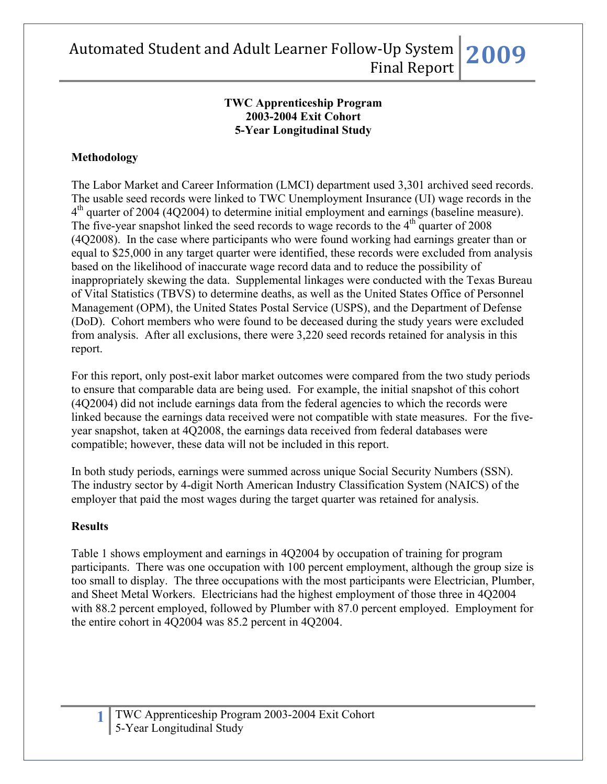#### **TWC Apprenticeship Program 2003-2004 Exit Cohort 5-Year Longitudinal Study**

### **Methodology**

The Labor Market and Career Information (LMCI) department used 3,301 archived seed records. The usable seed records were linked to TWC Unemployment Insurance (UI) wage records in the  $4<sup>th</sup>$  quarter of 2004 (4Q2004) to determine initial employment and earnings (baseline measure). The five-year snapshot linked the seed records to wage records to the  $4<sup>th</sup>$  quarter of 2008 (4Q2008). In the case where participants who were found working had earnings greater than or equal to \$25,000 in any target quarter were identified, these records were excluded from analysis based on the likelihood of inaccurate wage record data and to reduce the possibility of inappropriately skewing the data. Supplemental linkages were conducted with the Texas Bureau of Vital Statistics (TBVS) to determine deaths, as well as the United States Office of Personnel Management (OPM), the United States Postal Service (USPS), and the Department of Defense (DoD). Cohort members who were found to be deceased during the study years were excluded from analysis. After all exclusions, there were 3,220 seed records retained for analysis in this report.

For this report, only post-exit labor market outcomes were compared from the two study periods to ensure that comparable data are being used. For example, the initial snapshot of this cohort (4Q2004) did not include earnings data from the federal agencies to which the records were linked because the earnings data received were not compatible with state measures. For the fiveyear snapshot, taken at 4Q2008, the earnings data received from federal databases were compatible; however, these data will not be included in this report.

In both study periods, earnings were summed across unique Social Security Numbers (SSN). The industry sector by 4-digit North American Industry Classification System (NAICS) of the employer that paid the most wages during the target quarter was retained for analysis.

### **Results**

Table 1 shows employment and earnings in 4Q2004 by occupation of training for program participants. There was one occupation with 100 percent employment, although the group size is too small to display. The three occupations with the most participants were Electrician, Plumber, and Sheet Metal Workers. Electricians had the highest employment of those three in 4Q2004 with 88.2 percent employed, followed by Plumber with 87.0 percent employed. Employment for the entire cohort in 4Q2004 was 85.2 percent in 4Q2004.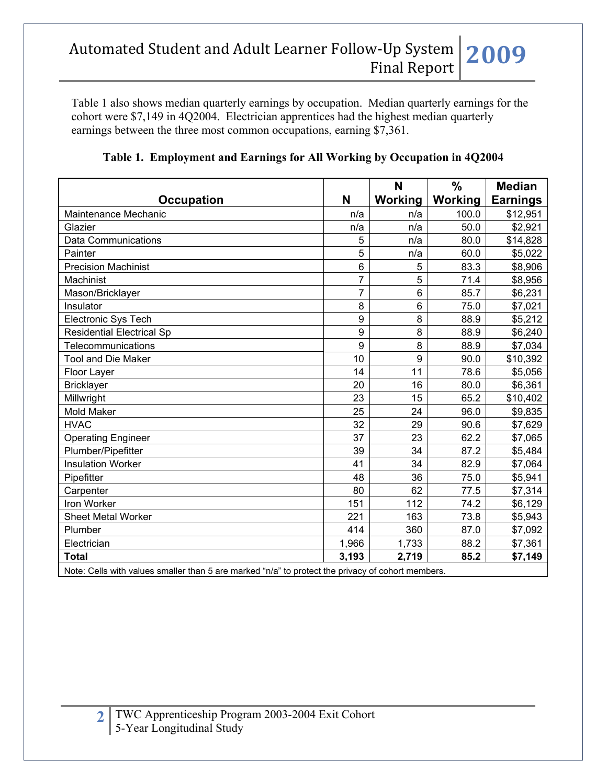Table 1 also shows median quarterly earnings by occupation. Median quarterly earnings for the cohort were \$7,149 in 4Q2004. Electrician apprentices had the highest median quarterly earnings between the three most common occupations, earning \$7,361.

|                                                                                                   |                | N       | $\frac{0}{0}$  | <b>Median</b>   |
|---------------------------------------------------------------------------------------------------|----------------|---------|----------------|-----------------|
| <b>Occupation</b>                                                                                 | N              | Working | <b>Working</b> | <b>Earnings</b> |
| Maintenance Mechanic                                                                              | n/a            | n/a     | 100.0          | \$12,951        |
| Glazier                                                                                           | n/a            | n/a     | 50.0           | \$2,921         |
| <b>Data Communications</b>                                                                        | 5              | n/a     | 80.0           | \$14,828        |
| Painter                                                                                           | 5              | n/a     | 60.0           | \$5,022         |
| <b>Precision Machinist</b>                                                                        | 6              | 5       | 83.3           | \$8,906         |
| Machinist                                                                                         | $\overline{7}$ | 5       | 71.4           | \$8,956         |
| Mason/Bricklayer                                                                                  | $\overline{7}$ | 6       | 85.7           | \$6,231         |
| Insulator                                                                                         | 8              | 6       | 75.0           | \$7,021         |
| Electronic Sys Tech                                                                               | 9              | 8       | 88.9           | \$5,212         |
| <b>Residential Electrical Sp</b>                                                                  | 9              | 8       | 88.9           | \$6,240         |
| Telecommunications                                                                                | 9              | 8       | 88.9           | \$7,034         |
| <b>Tool and Die Maker</b>                                                                         | 10             | 9       | 90.0           | \$10,392        |
| Floor Layer                                                                                       | 14             | 11      | 78.6           | \$5,056         |
| <b>Bricklayer</b>                                                                                 | 20             | 16      | 80.0           | \$6,361         |
| Millwright                                                                                        | 23             | 15      | 65.2           | \$10,402        |
| <b>Mold Maker</b>                                                                                 | 25             | 24      | 96.0           | \$9,835         |
| <b>HVAC</b>                                                                                       | 32             | 29      | 90.6           | \$7,629         |
| <b>Operating Engineer</b>                                                                         | 37             | 23      | 62.2           | \$7,065         |
| Plumber/Pipefitter                                                                                | 39             | 34      | 87.2           | \$5,484         |
| <b>Insulation Worker</b>                                                                          | 41             | 34      | 82.9           | \$7,064         |
| Pipefitter                                                                                        | 48             | 36      | 75.0           | \$5,941         |
| Carpenter                                                                                         | 80             | 62      | 77.5           | \$7,314         |
| Iron Worker                                                                                       | 151            | 112     | 74.2           | \$6,129         |
| <b>Sheet Metal Worker</b>                                                                         | 221            | 163     | 73.8           | \$5,943         |
| Plumber                                                                                           | 414            | 360     | 87.0           | \$7,092         |
| Electrician                                                                                       | 1,966          | 1,733   | 88.2           | \$7,361         |
| <b>Total</b>                                                                                      | 3,193          | 2,719   | 85.2           | \$7,149         |
| Note: Cells with values smaller than 5 are marked "n/a" to protect the privacy of cohort members. |                |         |                |                 |

**Table 1. Employment and Earnings for All Working by Occupation in 4Q2004**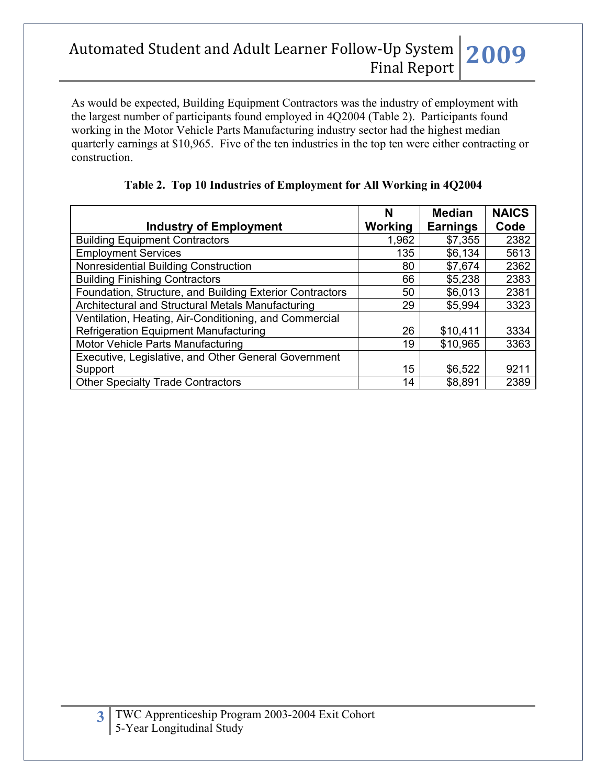As would be expected, Building Equipment Contractors was the industry of employment with the largest number of participants found employed in 4Q2004 (Table 2). Participants found working in the Motor Vehicle Parts Manufacturing industry sector had the highest median quarterly earnings at \$10,965. Five of the ten industries in the top ten were either contracting or construction.

|                                                          | N              | <b>Median</b>   | <b>NAICS</b> |
|----------------------------------------------------------|----------------|-----------------|--------------|
| <b>Industry of Employment</b>                            | <b>Working</b> | <b>Earnings</b> | Code         |
| <b>Building Equipment Contractors</b>                    | 1,962          | \$7,355         | 2382         |
| <b>Employment Services</b>                               | 135            | \$6,134         | 5613         |
| Nonresidential Building Construction                     | 80             | \$7,674         | 2362         |
| <b>Building Finishing Contractors</b>                    | 66             | \$5,238         | 2383         |
| Foundation, Structure, and Building Exterior Contractors | 50             | \$6,013         | 2381         |
| Architectural and Structural Metals Manufacturing        | 29             | \$5,994         | 3323         |
| Ventilation, Heating, Air-Conditioning, and Commercial   |                |                 |              |
| <b>Refrigeration Equipment Manufacturing</b>             | 26             | \$10,411        | 3334         |
| Motor Vehicle Parts Manufacturing                        | 19             | \$10,965        | 3363         |
| Executive, Legislative, and Other General Government     |                |                 |              |
| Support                                                  | 15             | \$6,522         | 9211         |
| <b>Other Specialty Trade Contractors</b>                 | 14             | \$8,891         | 2389         |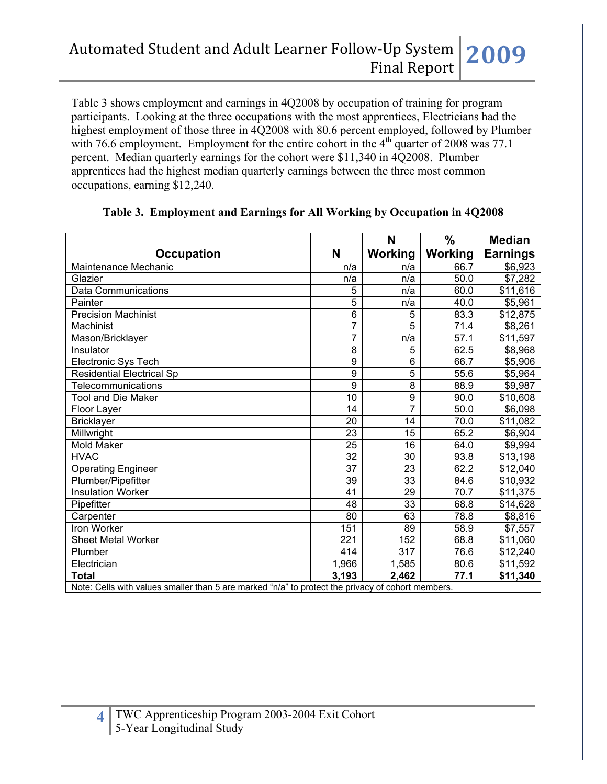Table 3 shows employment and earnings in 4Q2008 by occupation of training for program participants. Looking at the three occupations with the most apprentices, Electricians had the highest employment of those three in 4Q2008 with 80.6 percent employed, followed by Plumber with 76.6 employment. Employment for the entire cohort in the  $4<sup>th</sup>$  quarter of 2008 was 77.1 percent. Median quarterly earnings for the cohort were \$11,340 in 4Q2008. Plumber apprentices had the highest median quarterly earnings between the three most common occupations, earning \$12,240.

|                                                                                                   |                 | N               | $\frac{0}{0}$ | <b>Median</b>        |
|---------------------------------------------------------------------------------------------------|-----------------|-----------------|---------------|----------------------|
| <b>Occupation</b>                                                                                 | N               | Working         | Working       | <b>Earnings</b>      |
| Maintenance Mechanic                                                                              | n/a             | n/a             | 66.7          | \$6,923              |
| Glazier                                                                                           | n/a             | n/a             | 50.0          | \$7,282              |
| <b>Data Communications</b>                                                                        | 5               | n/a             | 60.0          | \$11,616             |
| Painter                                                                                           | 5               | n/a             | 40.0          | \$5,961              |
| <b>Precision Machinist</b>                                                                        | $\overline{6}$  | 5               | 83.3          | \$12,875             |
| Machinist                                                                                         | 7               | 5               | 71.4          | \$8,261              |
| Mason/Bricklayer                                                                                  | 7               | n/a             | 57.1          | \$11,597             |
| Insulator                                                                                         | 8               | 5               | 62.5          | \$8,968              |
| Electronic Sys Tech                                                                               | 9               | 6               | 66.7          | \$5,906              |
| <b>Residential Electrical Sp</b>                                                                  | $\overline{9}$  | 5               | 55.6          | \$5,964              |
| <b>Telecommunications</b>                                                                         | 9               | 8               | 88.9          | \$9,987              |
| Tool and Die Maker                                                                                | 10              | $\overline{9}$  | 90.0          | \$10,608             |
| Floor Layer                                                                                       | 14              | 7               | 50.0          | \$6,098              |
| <b>Bricklayer</b>                                                                                 | 20              | 14              | 70.0          | \$11,082             |
| Millwright                                                                                        | 23              | 15              | 65.2          | \$6,904              |
| <b>Mold Maker</b>                                                                                 | 25              | 16              | 64.0          | \$9,994              |
| <b>HVAC</b>                                                                                       | $\overline{32}$ | $\overline{30}$ | 93.8          | \$13,198             |
| <b>Operating Engineer</b>                                                                         | $\overline{37}$ | 23              | 62.2          | \$12,040             |
| Plumber/Pipefitter                                                                                | $\overline{39}$ | 33              | 84.6          | \$10,932             |
| <b>Insulation Worker</b>                                                                          | 41              | 29              | 70.7          | $\overline{$}11,375$ |
| Pipefitter                                                                                        | 48              | 33              | 68.8          | \$14,628             |
| Carpenter                                                                                         | 80              | 63              | 78.8          | \$8,816              |
| Iron Worker                                                                                       | 151             | 89              | 58.9          | \$7,557              |
| <b>Sheet Metal Worker</b>                                                                         | 221             | 152             | 68.8          | $\sqrt{$1,060}$      |
| Plumber                                                                                           | 414             | 317             | 76.6          | \$12,240             |
| Electrician                                                                                       | 1,966           | 1,585           | 80.6          | \$11,592             |
| <b>Total</b>                                                                                      | 3,193           | 2,462           | 77.1          | \$11,340             |
| Note: Cells with values smaller than 5 are marked "n/a" to protect the privacy of cohort members. |                 |                 |               |                      |

#### **Table 3. Employment and Earnings for All Working by Occupation in 4Q2008**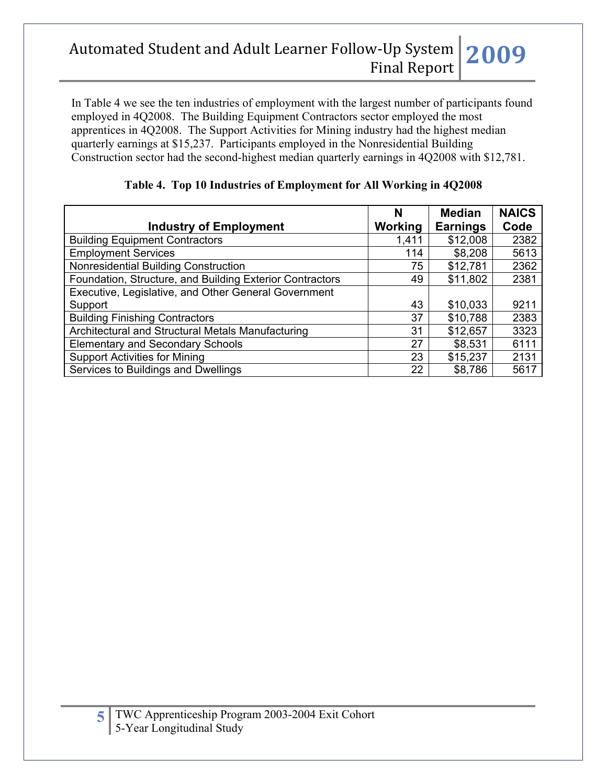In Table 4 we see the ten industries of employment with the largest number of participants found employed in 4Q2008. The Building Equipment Contractors sector employed the most apprentices in 4Q2008. The Support Activities for Mining industry had the highest median quarterly earnings at \$15,237. Participants employed in the Nonresidential Building Construction sector had the second-highest median quarterly earnings in 4Q2008 with \$12,781.

|                                                          | N              | <b>Median</b>   | <b>NAICS</b> |
|----------------------------------------------------------|----------------|-----------------|--------------|
| <b>Industry of Employment</b>                            | <b>Working</b> | <b>Earnings</b> | Code         |
| <b>Building Equipment Contractors</b>                    | 1,411          | \$12,008        | 2382         |
| <b>Employment Services</b>                               | 114            | \$8,208         | 5613         |
| Nonresidential Building Construction                     | 75             | \$12,781        | 2362         |
| Foundation, Structure, and Building Exterior Contractors | 49             | \$11,802        | 2381         |
| Executive, Legislative, and Other General Government     |                |                 |              |
| Support                                                  | 43             | \$10,033        | 9211         |
| <b>Building Finishing Contractors</b>                    | 37             | \$10,788        | 2383         |
| Architectural and Structural Metals Manufacturing        | 31             | \$12,657        | 3323         |
| <b>Elementary and Secondary Schools</b>                  | 27             | \$8,531         | 6111         |
| <b>Support Activities for Mining</b>                     | 23             | \$15,237        | 2131         |
| Services to Buildings and Dwellings                      | 22             | \$8,786         | 5617         |

**Table 4. Top 10 Industries of Employment for All Working in 4Q2008**